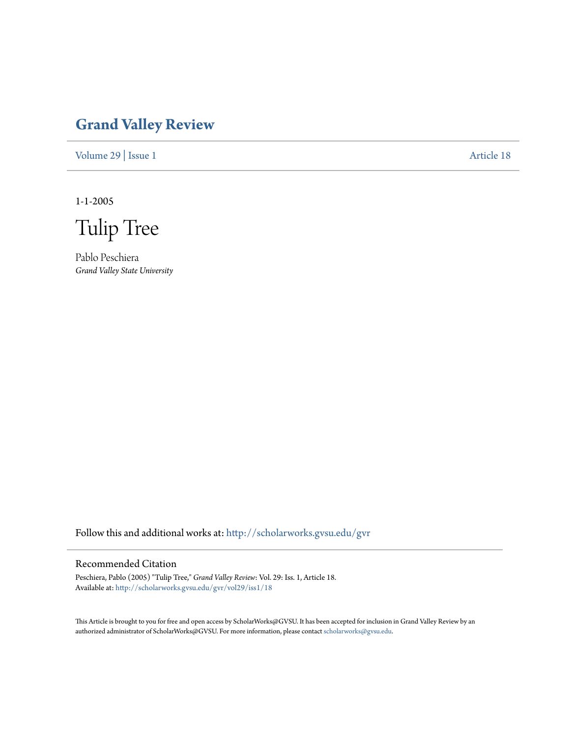## **[Grand Valley Review](http://scholarworks.gvsu.edu/gvr?utm_source=scholarworks.gvsu.edu%2Fgvr%2Fvol29%2Fiss1%2F18&utm_medium=PDF&utm_campaign=PDFCoverPages)**

[Volume 29](http://scholarworks.gvsu.edu/gvr/vol29?utm_source=scholarworks.gvsu.edu%2Fgvr%2Fvol29%2Fiss1%2F18&utm_medium=PDF&utm_campaign=PDFCoverPages) | [Issue 1](http://scholarworks.gvsu.edu/gvr/vol29/iss1?utm_source=scholarworks.gvsu.edu%2Fgvr%2Fvol29%2Fiss1%2F18&utm_medium=PDF&utm_campaign=PDFCoverPages) [Article 18](http://scholarworks.gvsu.edu/gvr/vol29/iss1/18?utm_source=scholarworks.gvsu.edu%2Fgvr%2Fvol29%2Fiss1%2F18&utm_medium=PDF&utm_campaign=PDFCoverPages)

1-1-2005

Tulip Tree

Pablo Peschiera *Grand Valley State University*

Follow this and additional works at: [http://scholarworks.gvsu.edu/gvr](http://scholarworks.gvsu.edu/gvr?utm_source=scholarworks.gvsu.edu%2Fgvr%2Fvol29%2Fiss1%2F18&utm_medium=PDF&utm_campaign=PDFCoverPages)

### Recommended Citation

Peschiera, Pablo (2005) "Tulip Tree," *Grand Valley Review*: Vol. 29: Iss. 1, Article 18. Available at: [http://scholarworks.gvsu.edu/gvr/vol29/iss1/18](http://scholarworks.gvsu.edu/gvr/vol29/iss1/18?utm_source=scholarworks.gvsu.edu%2Fgvr%2Fvol29%2Fiss1%2F18&utm_medium=PDF&utm_campaign=PDFCoverPages)

This Article is brought to you for free and open access by ScholarWorks@GVSU. It has been accepted for inclusion in Grand Valley Review by an authorized administrator of ScholarWorks@GVSU. For more information, please contact [scholarworks@gvsu.edu.](mailto:scholarworks@gvsu.edu)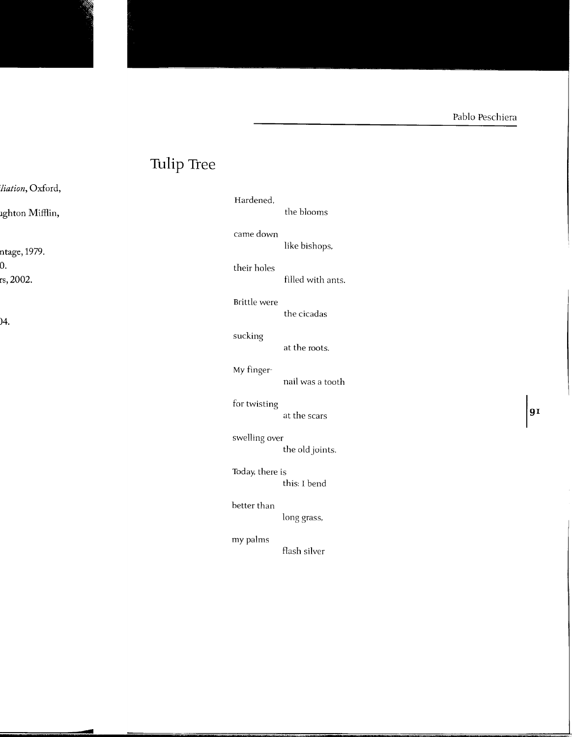# **Tulip Tree**

| Hardened,       | the blooms        |    |
|-----------------|-------------------|----|
| came down       | like bishops,     |    |
| their holes     | filled with ants. |    |
| Brittle were    | the cicadas       |    |
| sucking         | at the roots.     |    |
| My finger-      | nail was a tooth  |    |
| for twisting    | at the scars      | 91 |
| swelling over   | the old joints.   |    |
| Today, there is | this: I bend      |    |
| better than     | long grass,       |    |
| my palms        | flash silver      |    |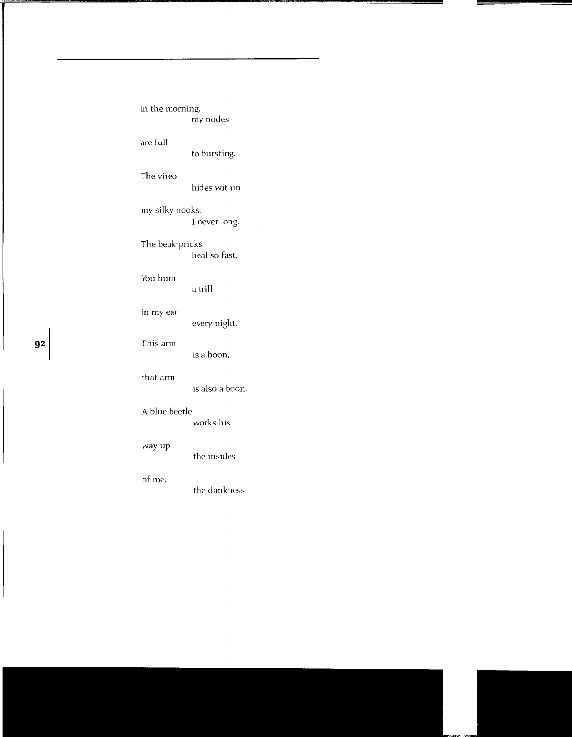| in the morning,                  | my nodes        |  |
|----------------------------------|-----------------|--|
| are full                         | to bursting.    |  |
| The vireo                        | hides within    |  |
| my silky nooks.<br>I never long. |                 |  |
| The beak-pricks                  | لمجمئل جحاليتها |  |

heal so fast. You hum

a trill

### in my ear

every night.

### **92** This arm

is a boon,

### that arm

is also a boon.

#### A blue beetle

works his

### way up

the insides

### of me,

the dankness